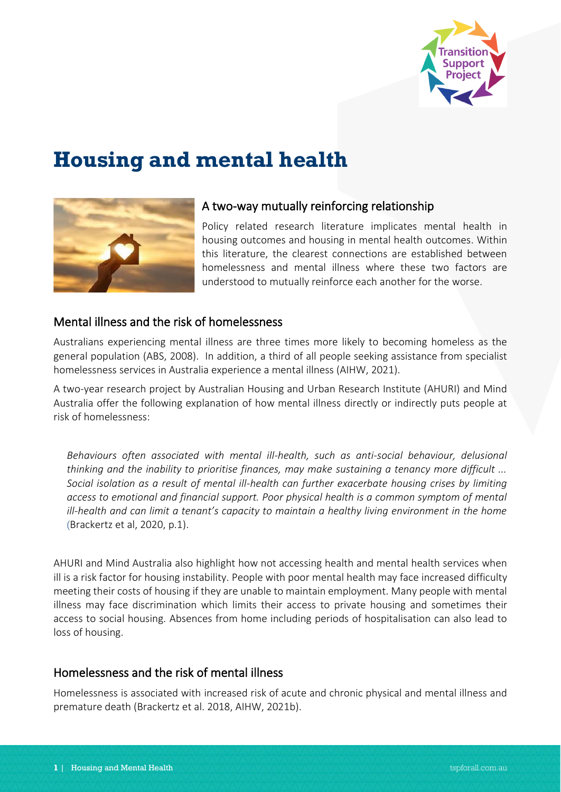

# **Housing and mental health**



#### A two-way mutually reinforcing relationship

Policy related research literature implicates mental health in housing outcomes and housing in mental health outcomes. Within this literature, the clearest connections are established between homelessness and mental illness where these two factors are understood to mutually reinforce each another for the worse.

#### Mental illness and the risk of homelessness

Australians experiencing mental illness are three times more likely to becoming homeless as the general population (ABS, 2008). In addition, a third of all people seeking assistance from specialist homelessness services in Australia experience a mental illness (AIHW, 2021).

A two-year research project by Australian Housing and Urban Research Institute (AHURI) and Mind Australia offer the following explanation of how mental illness directly or indirectly puts people at risk of homelessness:

*Behaviours often associated with mental ill-health, such as anti-social behaviour, delusional thinking and the inability to prioritise finances, may make sustaining a tenancy more difficult ... Social isolation as a result of mental ill-health can further exacerbate housing crises by limiting access to emotional and financial support. Poor physical health is a common symptom of mental ill-health and can limit a tenant's capacity to maintain a healthy living environment in the home* (Brackertz et al, 2020, p.1).

AHURI and Mind Australia also highlight how not accessing health and mental health services when ill is a risk factor for housing instability. People with poor mental health may face increased difficulty meeting their costs of housing if they are unable to maintain employment. Many people with mental illness may face discrimination which limits their access to private housing and sometimes their access to social housing. Absences from home including periods of hospitalisation can also lead to loss of housing.

## Homelessness and the risk of mental illness

Homelessness is associated with increased risk of acute and chronic physical and mental illness and premature death (Brackertz et al. 2018, AIHW, 2021b).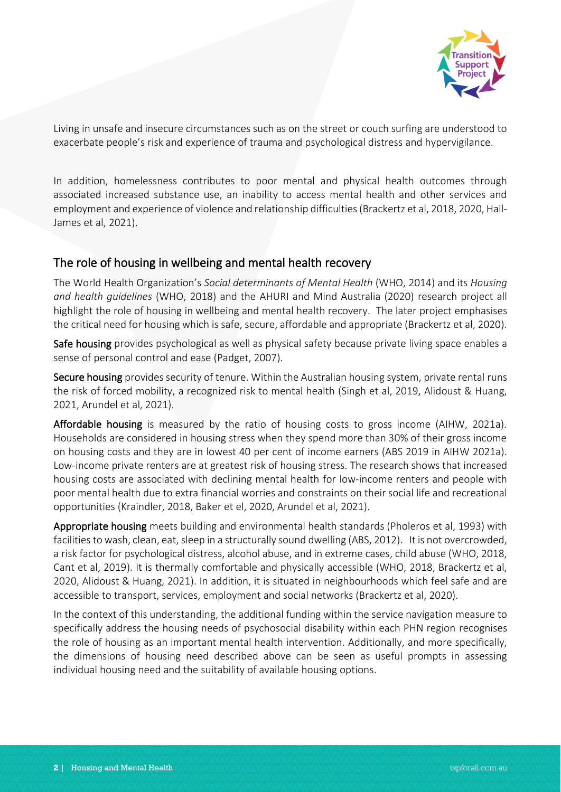

Living in unsafe and insecure circumstances such as on the street or couch surfing are understood to exacerbate people's risk and experience of trauma and psychological distress and hypervigilance.

In addition, homelessness contributes to poor mental and physical health outcomes through associated increased substance use, an inability to access mental health and other services and employment and experience of violence and relationship difficulties(Brackertz et al, 2018, 2020, Hail-James et al, 2021).

## The role of housing in wellbeing and mental health recovery

The World Health Organization's *Social determinants of Mental Health* (WHO, 2014) and its *Housing and health guidelines* (WHO, 2018) and the AHURI and Mind Australia (2020) research project all highlight the role of housing in wellbeing and mental health recovery. The later project emphasises the critical need for housing which is safe, secure, affordable and appropriate (Brackertz et al, 2020).

Safe housing provides psychological as well as physical safety because private living space enables a sense of personal control and ease (Padget, 2007).

Secure housing provides security of tenure. Within the Australian housing system, private rental runs the risk of forced mobility, a recognized risk to mental health (Singh et al, 2019, Alidoust & Huang, 2021, Arundel et al, 2021).

Affordable housing is measured by the ratio of housing costs to gross income (AIHW, 2021a). Households are considered in housing stress when they spend more than 30% of their gross income on housing costs and they are in lowest 40 per cent of income earners (ABS 2019 in AIHW 2021a). Low-income private renters are at greatest risk of housing stress. The research shows that increased housing costs are associated with declining mental health for low-income renters and people with poor mental health due to extra financial worries and constraints on their social life and recreational opportunities (Kraindler, 2018, Baker et el, 2020, Arundel et al, 2021).

Appropriate housing meets building and environmental health standards (Pholeros et al, 1993) with facilities to wash, clean, eat, sleep in a structurally sound dwelling (ABS, 2012). It is not overcrowded, a risk factor for psychological distress, alcohol abuse, and in extreme cases, child abuse (WHO, 2018, Cant et al, 2019). It is thermally comfortable and physically accessible (WHO, 2018, Brackertz et al, 2020, Alidoust & Huang, 2021). In addition, it is situated in neighbourhoods which feel safe and are accessible to transport, services, employment and social networks (Brackertz et al, 2020).

In the context of this understanding, the additional funding within the service navigation measure to specifically address the housing needs of psychosocial disability within each PHN region recognises the role of housing as an important mental health intervention. Additionally, and more specifically, the dimensions of housing need described above can be seen as useful prompts in assessing individual housing need and the suitability of available housing options.